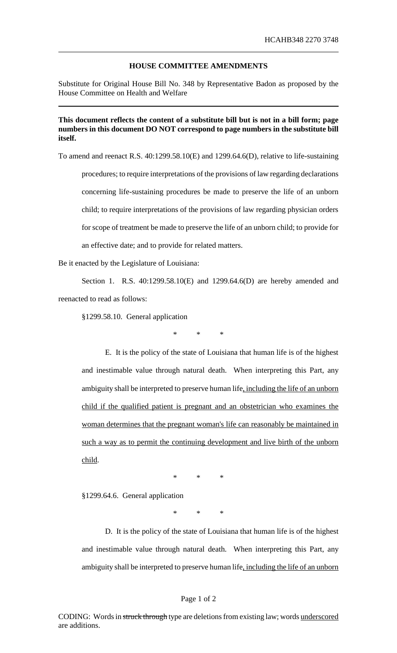## **HOUSE COMMITTEE AMENDMENTS**

Substitute for Original House Bill No. 348 by Representative Badon as proposed by the House Committee on Health and Welfare

## **This document reflects the content of a substitute bill but is not in a bill form; page numbers in this document DO NOT correspond to page numbers in the substitute bill itself.**

To amend and reenact R.S. 40:1299.58.10(E) and 1299.64.6(D), relative to life-sustaining procedures; to require interpretations of the provisions of law regarding declarations concerning life-sustaining procedures be made to preserve the life of an unborn child; to require interpretations of the provisions of law regarding physician orders for scope of treatment be made to preserve the life of an unborn child; to provide for an effective date; and to provide for related matters.

Be it enacted by the Legislature of Louisiana:

Section 1. R.S. 40:1299.58.10(E) and 1299.64.6(D) are hereby amended and reenacted to read as follows:

§1299.58.10. General application

\* \* \*

E. It is the policy of the state of Louisiana that human life is of the highest and inestimable value through natural death. When interpreting this Part, any ambiguity shall be interpreted to preserve human life, including the life of an unborn child if the qualified patient is pregnant and an obstetrician who examines the woman determines that the pregnant woman's life can reasonably be maintained in such a way as to permit the continuing development and live birth of the unborn child.

\* \* \*

§1299.64.6. General application

\* \* \*

D. It is the policy of the state of Louisiana that human life is of the highest and inestimable value through natural death. When interpreting this Part, any ambiguity shall be interpreted to preserve human life, including the life of an unborn

## Page 1 of 2

CODING: Words in struck through type are deletions from existing law; words underscored are additions.